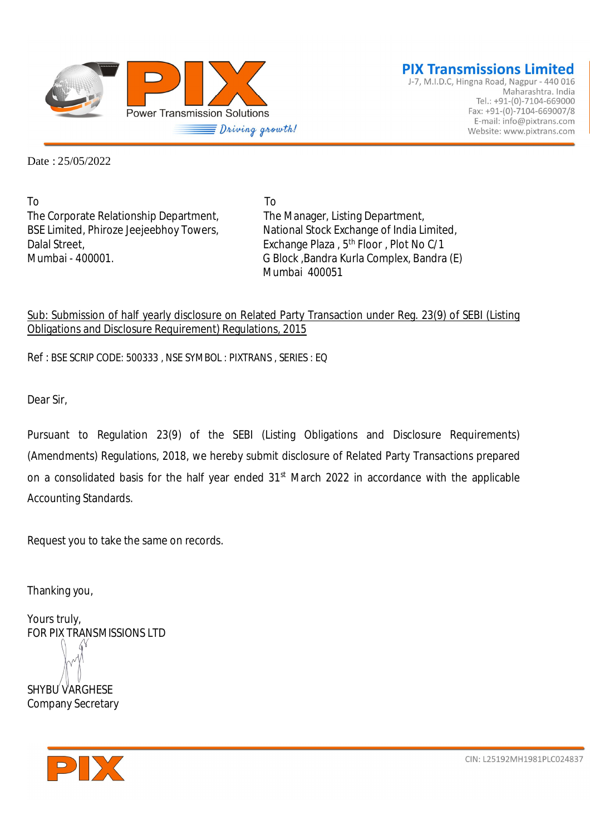

J-7, M.I.D.C, Hingna Road, Nagpur - 440 016 Maharashtra. India Tel.: +91-(0)-7104-669000 Fax: +91-(0)-7104-669007/8 E-mail: info@pixtrans.com Website: www.pixtrans.com

Date : 25/05/2022

To To The Corporate Relationship Department, The Manager, Listing Department, Dalal Street,<br>
Exchange Plaza , 5<sup>th</sup> Floor , Plot No C/1<br>
G Block .Bandra Kurla Complex. Bandra

BSE Limited, Phiroze Jeejeebhoy Towers, National Stock Exchange of India Limited, G Block, Bandra Kurla Complex, Bandra (E) Mumbai 400051

#### Sub: Submission of half yearly disclosure on Related Party Transaction under Reg. 23(9) of SEBI (Listing Obligations and Disclosure Requirement) Regulations, 2015

Ref : BSE SCRIP CODE: 500333 , NSE SYMBOL : PIXTRANS , SERIES : EQ

Dear Sir,

Pursuant to Regulation 23(9) of the SEBI (Listing Obligations and Disclosure Requirements) (Amendments) Regulations, 2018, we hereby submit disclosure of Related Party Transactions prepared on a consolidated basis for the half year ended 31<sup>st</sup> March 2022 in accordance with the applicable Accounting Standards.

Request you to take the same on records.

Thanking you,

Yours truly, FOR PIX TRANSMISSIONS LTD

SHYBU VARGHESE Company Secretary



CIN: L25192MH1981PLC024837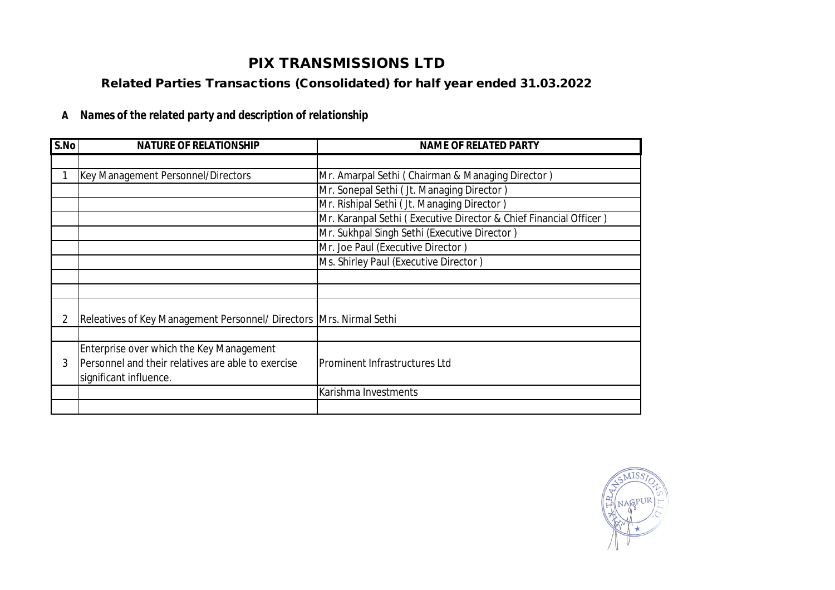## **PIX TRANSMISSIONS LTD**

### **Related Parties Transactions (Consolidated) for half year ended 31.03.2022**

### **A** *Names of the related party and description of relationship*

| S.No | <b>NATURE OF RELATIONSHIP</b>                                       | <b>NAME OF RELATED PARTY</b>                                      |  |  |  |
|------|---------------------------------------------------------------------|-------------------------------------------------------------------|--|--|--|
|      |                                                                     |                                                                   |  |  |  |
|      | Key Management Personnel/Directors                                  | Mr. Amarpal Sethi (Chairman & Managing Director)                  |  |  |  |
|      |                                                                     | Mr. Sonepal Sethi (Jt. Managing Director)                         |  |  |  |
|      |                                                                     | Mr. Rishipal Sethi (Jt. Managing Director)                        |  |  |  |
|      |                                                                     | Mr. Karanpal Sethi (Executive Director & Chief Financial Officer) |  |  |  |
|      |                                                                     | Mr. Sukhpal Singh Sethi (Executive Director)                      |  |  |  |
|      |                                                                     | Mr. Joe Paul (Executive Director)                                 |  |  |  |
|      |                                                                     | Ms. Shirley Paul (Executive Director)                             |  |  |  |
|      |                                                                     |                                                                   |  |  |  |
|      |                                                                     |                                                                   |  |  |  |
|      |                                                                     |                                                                   |  |  |  |
|      | Releatives of Key Management Personnel/ Directors Mrs. Nirmal Sethi |                                                                   |  |  |  |
|      |                                                                     |                                                                   |  |  |  |
|      | Enterprise over which the Key Management                            |                                                                   |  |  |  |
| 3    | Personnel and their relatives are able to exercise                  | Prominent Infrastructures Ltd                                     |  |  |  |
|      | significant influence.                                              |                                                                   |  |  |  |
|      |                                                                     | Karishma Investments                                              |  |  |  |
|      |                                                                     |                                                                   |  |  |  |